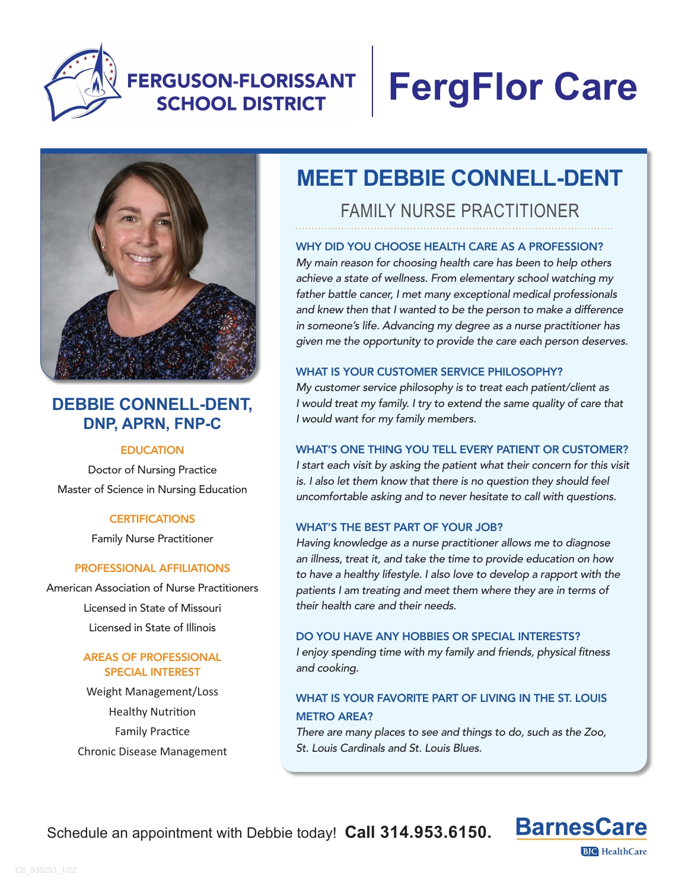

## **FERGUSON-FLORISSANT SCHOOL DISTRICT**

# **FergFlor Care**



### **DEBBIE CONNELL-DENT, DNP, APRN, FNP-C**

#### **EDUCATION**

Doctor of Nursing Practice Master of Science in Nursing Education

#### **CERTIFICATIONS**

Family Nurse Practitioner

#### PROFESSIONAL AFFILIATIONS

American Association of Nurse Practitioners Licensed in State of Missouri Licensed in State of Illinois

#### AREAS OF PROFESSIONAL SPECIAL INTEREST

Weight Management/Loss Healthy Nutrition Family Practice Chronic Disease Management

## **MEET DEBBIE CONNELL-DENT**

FAMILY NURSE PRACTITIONER

#### WHY DID YOU CHOOSE HEALTH CARE AS A PROFESSION?

*My main reason for choosing health care has been to help others achieve a state of wellness. From elementary school watching my father battle cancer, I met many exceptional medical professionals and knew then that I wanted to be the person to make a difference in someone's life. Advancing my degree as a nurse practitioner has given me the opportunity to provide the care each person deserves.* 

#### WHAT IS YOUR CUSTOMER SERVICE PHILOSOPHY?

*My customer service philosophy is to treat each patient/client as I would treat my family. I try to extend the same quality of care that I would want for my family members.* 

#### WHAT'S ONE THING YOU TELL EVERY PATIENT OR CUSTOMER?

*I start each visit by asking the patient what their concern for this visit is. I also let them know that there is no question they should feel uncomfortable asking and to never hesitate to call with questions.* 

#### WHAT'S THE BEST PART OF YOUR JOB?

*Having knowledge as a nurse practitioner allows me to diagnose an illness, treat it, and take the time to provide education on how to have a healthy lifestyle. I also love to develop a rapport with the patients I am treating and meet them where they are in terms of their health care and their needs.* 

#### DO YOU HAVE ANY HOBBIES OR SPECIAL INTERESTS?

*I enjoy spending time with my family and friends, physical fitness and cooking.*

#### WHAT IS YOUR FAVORITE PART OF LIVING IN THE ST. LOUIS METRO AREA?

*There are many places to see and things to do, such as the Zoo, St. Louis Cardinals and St. Louis Blues.*

Schedule an appointment with Debbie today! **Call 314.953.6150.**